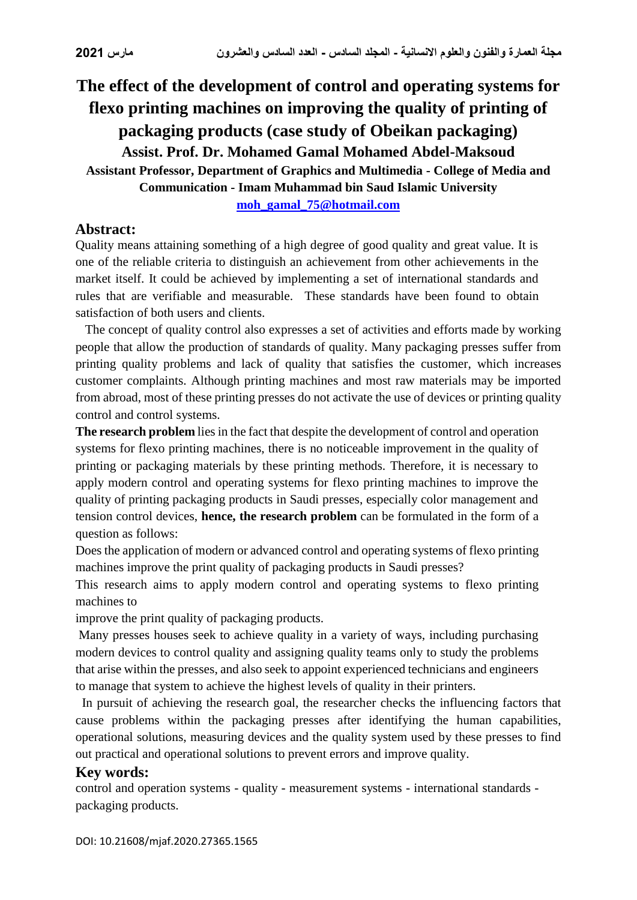# **The effect of the development of control and operating systems for flexo printing machines on improving the quality of printing of packaging products (case study of Obeikan packaging) Assist. Prof. Dr. Mohamed Gamal Mohamed Abdel-Maksoud Assistant Professor, Department of Graphics and Multimedia - College of Media and Communication - Imam Muhammad bin Saud Islamic University [moh\\_gamal\\_75@hotmail.com](mailto:moh_gamal_75@hotmail.com)**

#### **Abstract:**

Quality means attaining something of a high degree of good quality and great value. It is one of the reliable criteria to distinguish an achievement from other achievements in the market itself. It could be achieved by implementing a set of international standards and rules that are verifiable and measurable. These standards have been found to obtain satisfaction of both users and clients.

 The concept of quality control also expresses a set of activities and efforts made by working people that allow the production of standards of quality. Many packaging presses suffer from printing quality problems and lack of quality that satisfies the customer, which increases customer complaints. Although printing machines and most raw materials may be imported from abroad, most of these printing presses do not activate the use of devices or printing quality control and control systems.

**The research problem** lies in the fact that despite the development of control and operation systems for flexo printing machines, there is no noticeable improvement in the quality of printing or packaging materials by these printing methods. Therefore, it is necessary to apply modern control and operating systems for flexo printing machines to improve the quality of printing packaging products in Saudi presses, especially color management and tension control devices, **hence, the research problem** can be formulated in the form of a question as follows:

Does the application of modern or advanced control and operating systems of flexo printing machines improve the print quality of packaging products in Saudi presses?

This research aims to apply modern control and operating systems to flexo printing machines to

improve the print quality of packaging products.

Many presses houses seek to achieve quality in a variety of ways, including purchasing modern devices to control quality and assigning quality teams only to study the problems that arise within the presses, and also seek to appoint experienced technicians and engineers to manage that system to achieve the highest levels of quality in their printers.

 In pursuit of achieving the research goal, the researcher checks the influencing factors that cause problems within the packaging presses after identifying the human capabilities, operational solutions, measuring devices and the quality system used by these presses to find out practical and operational solutions to prevent errors and improve quality.

#### **Key words:**

control and operation systems - quality - measurement systems - international standards packaging products.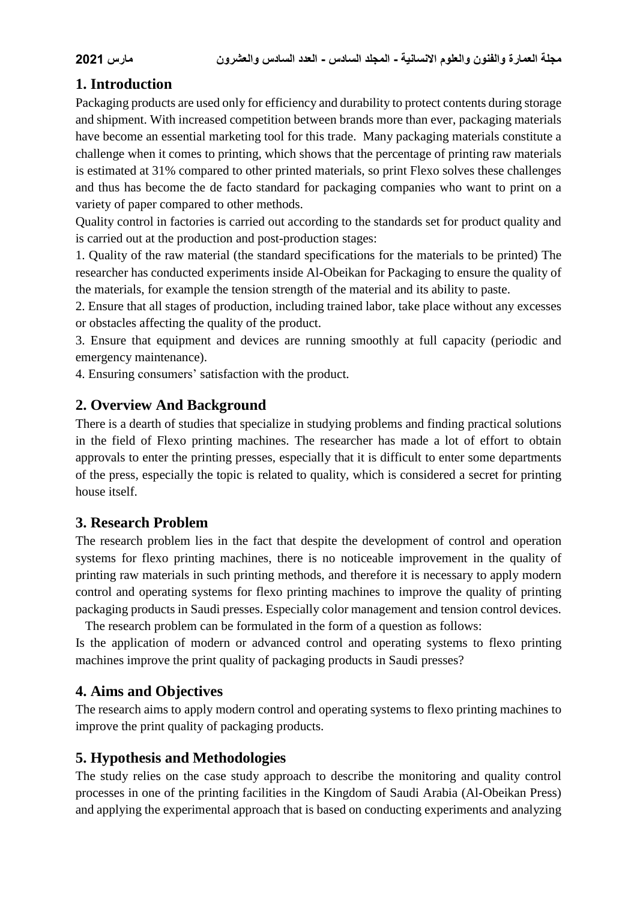# **1. Introduction**

Packaging products are used only for efficiency and durability to protect contents during storage and shipment. With increased competition between brands more than ever, packaging materials have become an essential marketing tool for this trade. Many packaging materials constitute a challenge when it comes to printing, which shows that the percentage of printing raw materials is estimated at 31% compared to other printed materials, so print Flexo solves these challenges and thus has become the de facto standard for packaging companies who want to print on a variety of paper compared to other methods.

Quality control in factories is carried out according to the standards set for product quality and is carried out at the production and post-production stages:

1. Quality of the raw material (the standard specifications for the materials to be printed) The researcher has conducted experiments inside Al-Obeikan for Packaging to ensure the quality of the materials, for example the tension strength of the material and its ability to paste.

2. Ensure that all stages of production, including trained labor, take place without any excesses or obstacles affecting the quality of the product.

3. Ensure that equipment and devices are running smoothly at full capacity (periodic and emergency maintenance).

4. Ensuring consumers' satisfaction with the product.

# **2. Overview And Background**

There is a dearth of studies that specialize in studying problems and finding practical solutions in the field of Flexo printing machines. The researcher has made a lot of effort to obtain approvals to enter the printing presses, especially that it is difficult to enter some departments of the press, especially the topic is related to quality, which is considered a secret for printing house itself.

## **3. Research Problem**

The research problem lies in the fact that despite the development of control and operation systems for flexo printing machines, there is no noticeable improvement in the quality of printing raw materials in such printing methods, and therefore it is necessary to apply modern control and operating systems for flexo printing machines to improve the quality of printing packaging products in Saudi presses. Especially color management and tension control devices.

 The research problem can be formulated in the form of a question as follows: Is the application of modern or advanced control and operating systems to flexo printing machines improve the print quality of packaging products in Saudi presses?

# **4. Aims and Objectives**

The research aims to apply modern control and operating systems to flexo printing machines to improve the print quality of packaging products.

# **5. Hypothesis and Methodologies**

The study relies on the case study approach to describe the monitoring and quality control processes in one of the printing facilities in the Kingdom of Saudi Arabia (Al-Obeikan Press) and applying the experimental approach that is based on conducting experiments and analyzing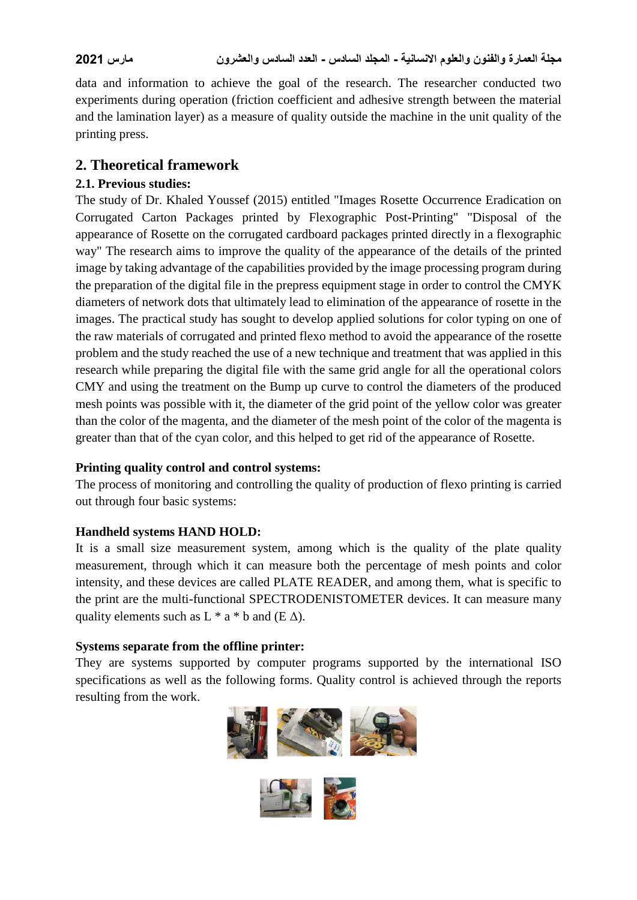data and information to achieve the goal of the research. The researcher conducted two experiments during operation (friction coefficient and adhesive strength between the material and the lamination layer) as a measure of quality outside the machine in the unit quality of the printing press.

## **2. Theoretical framework**

#### **2.1. Previous studies:**

The study of Dr. Khaled Youssef (2015) entitled "Images Rosette Occurrence Eradication on Corrugated Carton Packages printed by Flexographic Post-Printing" "Disposal of the appearance of Rosette on the corrugated cardboard packages printed directly in a flexographic way" The research aims to improve the quality of the appearance of the details of the printed image by taking advantage of the capabilities provided by the image processing program during the preparation of the digital file in the prepress equipment stage in order to control the CMYK diameters of network dots that ultimately lead to elimination of the appearance of rosette in the images. The practical study has sought to develop applied solutions for color typing on one of the raw materials of corrugated and printed flexo method to avoid the appearance of the rosette problem and the study reached the use of a new technique and treatment that was applied in this research while preparing the digital file with the same grid angle for all the operational colors CMY and using the treatment on the Bump up curve to control the diameters of the produced mesh points was possible with it, the diameter of the grid point of the yellow color was greater than the color of the magenta, and the diameter of the mesh point of the color of the magenta is greater than that of the cyan color, and this helped to get rid of the appearance of Rosette.

#### **Printing quality control and control systems:**

The process of monitoring and controlling the quality of production of flexo printing is carried out through four basic systems:

## **Handheld systems HAND HOLD:**

It is a small size measurement system, among which is the quality of the plate quality measurement, through which it can measure both the percentage of mesh points and color intensity, and these devices are called PLATE READER, and among them, what is specific to the print are the multi-functional SPECTRODENISTOMETER devices. It can measure many quality elements such as  $L * a * b$  and  $(E \Delta)$ .

## **Systems separate from the offline printer:**

They are systems supported by computer programs supported by the international ISO specifications as well as the following forms. Quality control is achieved through the reports resulting from the work.



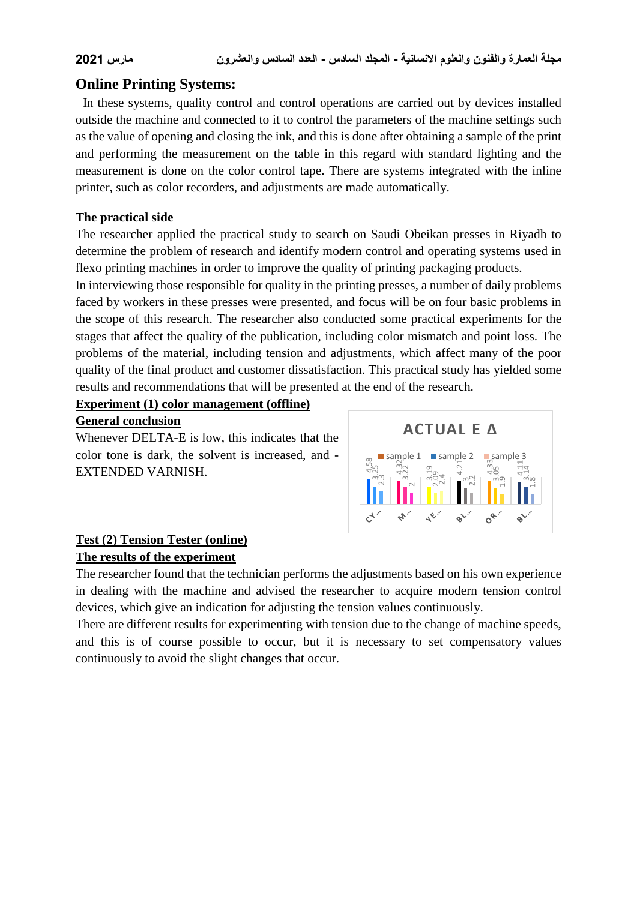## **Online Printing Systems:**

In these systems, quality control and control operations are carried out by devices installed outside the machine and connected to it to control the parameters of the machine settings such as the value of opening and closing the ink, and this is done after obtaining a sample of the print and performing the measurement on the table in this regard with standard lighting and the measurement is done on the color control tape. There are systems integrated with the inline printer, such as color recorders, and adjustments are made automatically.

#### **The practical side**

The researcher applied the practical study to search on Saudi Obeikan presses in Riyadh to determine the problem of research and identify modern control and operating systems used in flexo printing machines in order to improve the quality of printing packaging products.

In interviewing those responsible for quality in the printing presses, a number of daily problems faced by workers in these presses were presented, and focus will be on four basic problems in the scope of this research. The researcher also conducted some practical experiments for the stages that affect the quality of the publication, including color mismatch and point loss. The problems of the material, including tension and adjustments, which affect many of the poor quality of the final product and customer dissatisfaction. This practical study has yielded some results and recommendations that will be presented at the end of the research.

# **Experiment (1) color management (offline)**

#### **General conclusion**

Whenever DELTA-E is low, this indicates that the color tone is dark, the solvent is increased, and - EXTENDED VARNISH.



#### **Test (2) Tension Tester (online) The results of the experiment**

The researcher found that the technician performs the adjustments based on his own experience in dealing with the machine and advised the researcher to acquire modern tension control devices, which give an indication for adjusting the tension values continuously.

There are different results for experimenting with tension due to the change of machine speeds, and this is of course possible to occur, but it is necessary to set compensatory values continuously to avoid the slight changes that occur.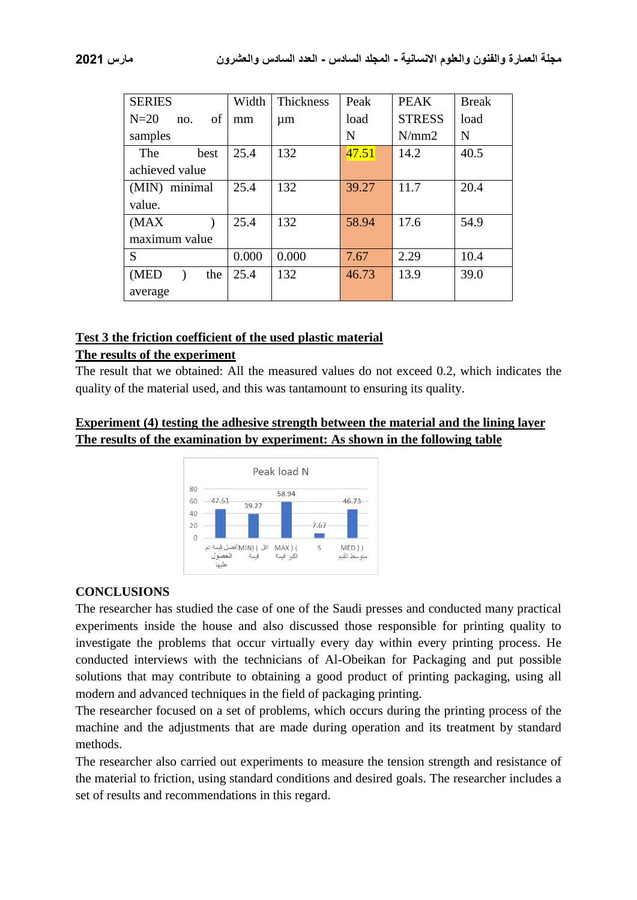| <b>SERIES</b>       | Width | <b>Thickness</b> | Peak  | <b>PEAK</b>   | <b>Break</b> |
|---------------------|-------|------------------|-------|---------------|--------------|
| $N=20$<br>of<br>no. | mm    | $\mu$ m          | load  | <b>STRESS</b> | load         |
| samples             |       |                  | N     | N/mm2         | N            |
| The<br>best         | 25.4  | 132              | 47.51 | 14.2          | 40.5         |
| achieved value      |       |                  |       |               |              |
| (MIN) minimal       | 25.4  | 132              | 39.27 | 11.7          | 20.4         |
| value.              |       |                  |       |               |              |
| (MAX)               | 25.4  | 132              | 58.94 | 17.6          | 54.9         |
| maximum value       |       |                  |       |               |              |
| S                   | 0.000 | 0.000            | 7.67  | 2.29          | 10.4         |
| (MED<br>the         | 25.4  | 132              | 46.73 | 13.9          | 39.0         |
| average             |       |                  |       |               |              |

#### **Test 3 the friction coefficient of the used plastic material**

#### **The results of the experiment**

The result that we obtained: All the measured values do not exceed 0.2, which indicates the quality of the material used, and this was tantamount to ensuring its quality.

### **Experiment (4) testing the adhesive strength between the material and the lining layer The results of the examination by experiment: As shown in the following table**



#### **CONCLUSIONS**

The researcher has studied the case of one of the Saudi presses and conducted many practical experiments inside the house and also discussed those responsible for printing quality to investigate the problems that occur virtually every day within every printing process. He conducted interviews with the technicians of Al-Obeikan for Packaging and put possible solutions that may contribute to obtaining a good product of printing packaging, using all modern and advanced techniques in the field of packaging printing.

The researcher focused on a set of problems, which occurs during the printing process of the machine and the adjustments that are made during operation and its treatment by standard methods.

The researcher also carried out experiments to measure the tension strength and resistance of the material to friction, using standard conditions and desired goals. The researcher includes a set of results and recommendations in this regard.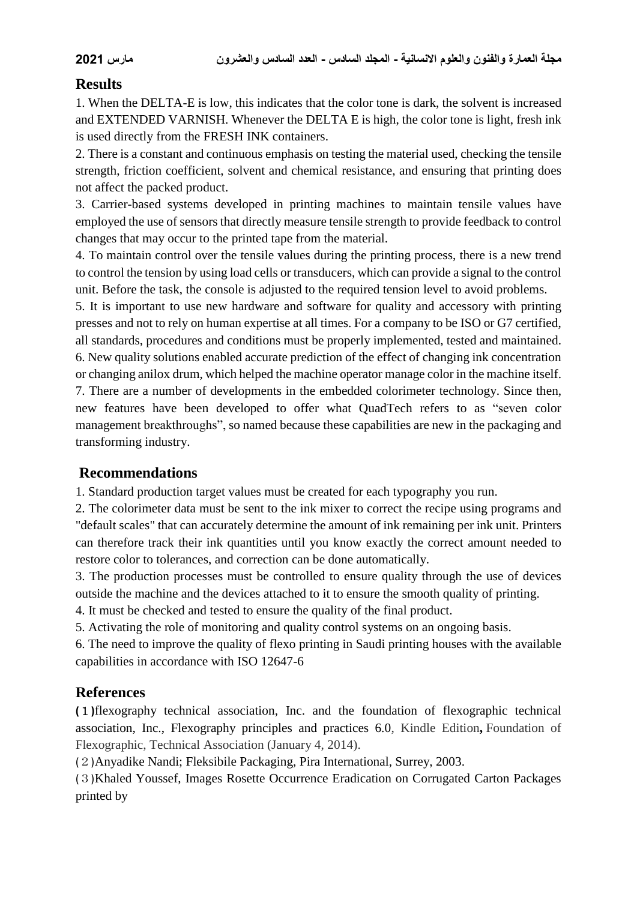## **Results**

1. When the DELTA-E is low, this indicates that the color tone is dark, the solvent is increased and EXTENDED VARNISH. Whenever the DELTA E is high, the color tone is light, fresh ink is used directly from the FRESH INK containers.

2. There is a constant and continuous emphasis on testing the material used, checking the tensile strength, friction coefficient, solvent and chemical resistance, and ensuring that printing does not affect the packed product.

3. Carrier-based systems developed in printing machines to maintain tensile values have employed the use of sensors that directly measure tensile strength to provide feedback to control changes that may occur to the printed tape from the material.

4. To maintain control over the tensile values during the printing process, there is a new trend to control the tension by using load cells or transducers, which can provide a signal to the control unit. Before the task, the console is adjusted to the required tension level to avoid problems.

5. It is important to use new hardware and software for quality and accessory with printing presses and not to rely on human expertise at all times. For a company to be ISO or G7 certified, all standards, procedures and conditions must be properly implemented, tested and maintained. 6. New quality solutions enabled accurate prediction of the effect of changing ink concentration or changing anilox drum, which helped the machine operator manage color in the machine itself. 7. There are a number of developments in the embedded colorimeter technology. Since then, new features have been developed to offer what QuadTech refers to as "seven color management breakthroughs", so named because these capabilities are new in the packaging and transforming industry.

## **Recommendations**

1. Standard production target values must be created for each typography you run.

2. The colorimeter data must be sent to the ink mixer to correct the recipe using programs and "default scales" that can accurately determine the amount of ink remaining per ink unit. Printers can therefore track their ink quantities until you know exactly the correct amount needed to restore color to tolerances, and correction can be done automatically.

3. The production processes must be controlled to ensure quality through the use of devices outside the machine and the devices attached to it to ensure the smooth quality of printing.

4. It must be checked and tested to ensure the quality of the final product.

5. Activating the role of monitoring and quality control systems on an ongoing basis.

6. The need to improve the quality of flexo printing in Saudi printing houses with the available capabilities in accordance with ISO 12647-6

## **References**

**(**1**)**flexography technical association, Inc. and the foundation of flexographic technical association, Inc., Flexography principles and practices 6.0, Kindle Edition**,** Foundation of Flexographic, Technical Association (January 4, 2014).

(2)Anyadike Nandi; Fleksibile Packaging, Pira International, Surrey, 2003.

(3)Khaled Youssef, Images Rosette Occurrence Eradication on Corrugated Carton Packages printed by